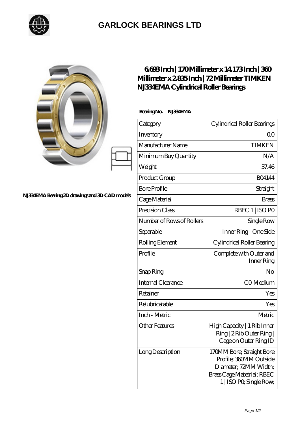

## **[GARLOCK BEARINGS LTD](https://m.letterstopriests.com)**

|                                                | 6688Inch   170Millimeter x 14 173Inch   360<br>Millimeter x 2835 Inch   72 Millimeter TIMKEN<br>NJ334EMA Cylindrical Roller Bearings |                                                                                                                                       |
|------------------------------------------------|--------------------------------------------------------------------------------------------------------------------------------------|---------------------------------------------------------------------------------------------------------------------------------------|
| NJ334EMA Bearing 2D drawings and 3D CAD models | Bearing No. NJ334EMA                                                                                                                 |                                                                                                                                       |
|                                                | Category                                                                                                                             | Cylindrical Roller Bearings                                                                                                           |
|                                                | Inventory                                                                                                                            | 0 <sup>0</sup>                                                                                                                        |
|                                                | Manufacturer Name                                                                                                                    | <b>TIMKEN</b>                                                                                                                         |
|                                                | Minimum Buy Quantity                                                                                                                 | N/A                                                                                                                                   |
|                                                | Weight                                                                                                                               | 37.46                                                                                                                                 |
|                                                | Product Group                                                                                                                        | <b>BO4144</b>                                                                                                                         |
|                                                | <b>Bore Profile</b>                                                                                                                  | Straight                                                                                                                              |
|                                                | Cage Material                                                                                                                        | <b>Brass</b>                                                                                                                          |
|                                                | Precision Class                                                                                                                      | RBEC 1   ISO PO                                                                                                                       |
|                                                | Number of Rows of Rollers                                                                                                            | Single Row                                                                                                                            |
|                                                | Separable                                                                                                                            | Inner Ring - One Side                                                                                                                 |
|                                                | Rolling Element                                                                                                                      | Cylindrical Roller Bearing                                                                                                            |
|                                                | Profile                                                                                                                              | Complete with Outer and<br>Inner Ring                                                                                                 |
|                                                | Snap Ring                                                                                                                            | No                                                                                                                                    |
|                                                | <b>Internal Clearance</b>                                                                                                            | CO-Medium                                                                                                                             |
|                                                | Retainer                                                                                                                             | Yes                                                                                                                                   |
|                                                | Relubricatable                                                                                                                       | Yes                                                                                                                                   |
|                                                | Inch - Metric                                                                                                                        | Metric                                                                                                                                |
|                                                | <b>Other Features</b>                                                                                                                | High Capacity   1 Rib Inner<br>Ring   2 Rib Outer Ring  <br>Cage on Outer Ring ID                                                     |
|                                                | <b>Long Description</b>                                                                                                              | 170MM Bore; Straight Bore<br>Profile; 360MM Outside<br>Diameter; 72MM Width;<br>Brass Cage Matetrial; RBEC<br>1   ISO PO, Single Row, |